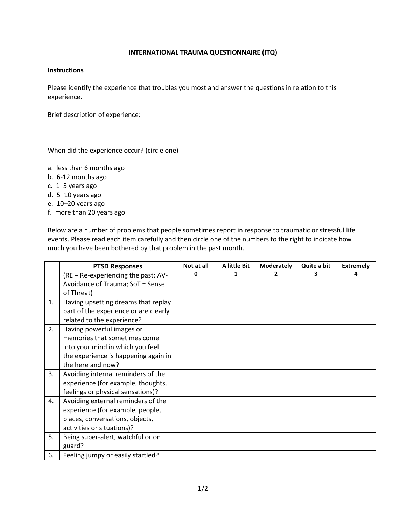## **INTERNATIONAL TRAUMA QUESTIONNAIRE (ITQ)**

## **Instructions**

Please identify the experience that troubles you most and answer the questions in relation to this experience.

Brief description of experience:

When did the experience occur? (circle one)

- a. less than 6 months ago
- b. 6-12 months ago
- c. 1–5 years ago
- d. 5–10 years ago
- e. 10–20 years ago
- f. more than 20 years ago

Below are a number of problems that people sometimes report in response to traumatic or stressful life events. Please read each item carefully and then circle one of the numbers to the right to indicate how much you have been bothered by that problem in the past month.

|    | <b>PTSD Responses</b>                 | Not at all | A little Bit | <b>Moderately</b> | Quite a bit | <b>Extremely</b> |
|----|---------------------------------------|------------|--------------|-------------------|-------------|------------------|
|    | (RE – Re-experiencing the past; AV-   |            |              |                   |             |                  |
|    | Avoidance of Trauma; SoT = Sense      |            |              |                   |             |                  |
|    | of Threat)                            |            |              |                   |             |                  |
| 1. | Having upsetting dreams that replay   |            |              |                   |             |                  |
|    | part of the experience or are clearly |            |              |                   |             |                  |
|    | related to the experience?            |            |              |                   |             |                  |
| 2. | Having powerful images or             |            |              |                   |             |                  |
|    | memories that sometimes come          |            |              |                   |             |                  |
|    | into your mind in which you feel      |            |              |                   |             |                  |
|    | the experience is happening again in  |            |              |                   |             |                  |
|    | the here and now?                     |            |              |                   |             |                  |
| 3. | Avoiding internal reminders of the    |            |              |                   |             |                  |
|    | experience (for example, thoughts,    |            |              |                   |             |                  |
|    | feelings or physical sensations)?     |            |              |                   |             |                  |
| 4. | Avoiding external reminders of the    |            |              |                   |             |                  |
|    | experience (for example, people,      |            |              |                   |             |                  |
|    | places, conversations, objects,       |            |              |                   |             |                  |
|    | activities or situations)?            |            |              |                   |             |                  |
| 5. | Being super-alert, watchful or on     |            |              |                   |             |                  |
|    | guard?                                |            |              |                   |             |                  |
| 6. | Feeling jumpy or easily startled?     |            |              |                   |             |                  |